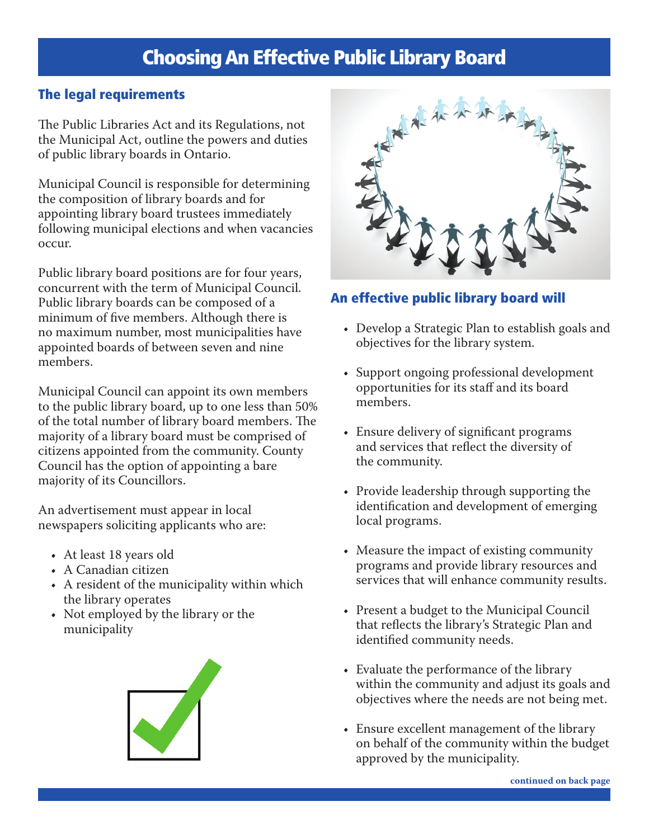# Choosing An Effective Public Library Board

### The legal requirements

The Public Libraries Act and its Regulations, not the Municipal Act, outline the powers and duties of public library boards in Ontario.

Municipal Council is responsible for determining the composition of library boards and for appointing library board trustees immediately following municipal elections and when vacancies occur.

Public library board positions are for four years, concurrent with the term of Municipal Council. Public library boards can be composed of a minimum of five members. Although there is no maximum number, most municipalities have appointed boards of between seven and nine members.

Municipal Council can appoint its own members to the public library board, up to one less than 50% of the total number of library board members. The majority of a library board must be comprised of citizens appointed from the community. County Council has the option of appointing a bare majority of its Councillors.

An advertisement must appear in local newspapers soliciting applicants who are:

- At least 18 years old
- A Canadian citizen
- A resident of the municipality within which the library operates
- Not employed by the library or the municipality





### An effective public library board will

- Develop a Strategic Plan to establish goals and objectives for the library system.
- Support ongoing professional development opportunities for its staff and its board members.
- Ensure delivery of significant programs and services that reflect the diversity of the community.
- Provide leadership through supporting the identification and development of emerging local programs.
- Measure the impact of existing community programs and provide library resources and services that will enhance community results.
- Present a budget to the Municipal Council that reflects the library's Strategic Plan and identified community needs.
- Evaluate the performance of the library within the community and adjust its goals and objectives where the needs are not being met.
- Ensure excellent management of the library on behalf of the community within the budget approved by the municipality.